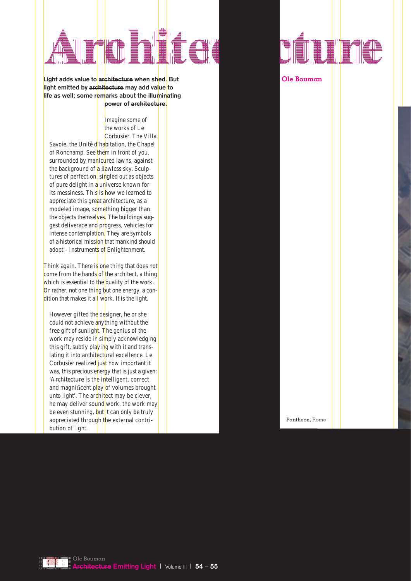

**Light adds value to architecture when shed. But light emitted by architecture may add value to life as well; some remarks about the illuminating power of architecture.**

> Imagine some of the works of Le Corbusier. The Villa

Savoie, the Unité d'habitation, the Chapel of Ronchamp. See them in front of you, surrounded by manicured lawns, against the background of a flawless sky. Sculptures of perfection, singled out as objects of pure delight in a universe known for its messiness. This is how we learned to appreciate this great architecture, as a modeled image, something bigger than the objects themselves. The buildings suggest deliverace and progress, vehicles for intense contemplation. They are symbols of a historical mission that mankind should adopt – Instruments of Enlightenment.

Think again. There is one thing that does not come from the hands of the architect, a thing which is essential to the quality of the work. Or rather, not one thing but one energy, a condition that makes it all work. It is the light.

However gifted the designer, he or she could not achieve anything without the free gift of sunlight. The genius of the work may reside in simply acknowledging this gift, subtly playing with it and translating it into architectural excellence. Le Corbusier realized just how important it was, this precious energy that is just a given: 'Architecture is the intelligent, correct and magnificent play of volumes brought unto light'. The architect may be clever, he may deliver sound work, the work may be even stunning, but it can only be truly appreciated through the external contribution of light.



**Ole Bouman**

Pantheon, Rome

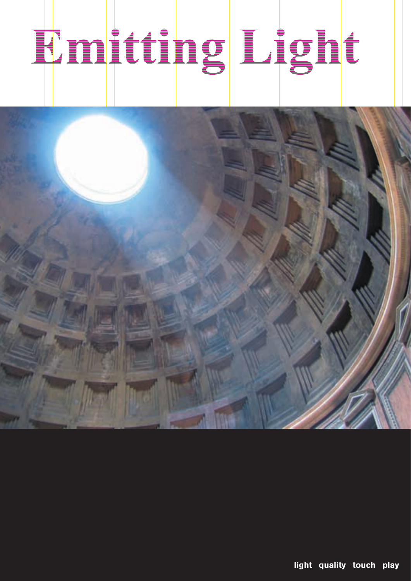## 



light quality touch play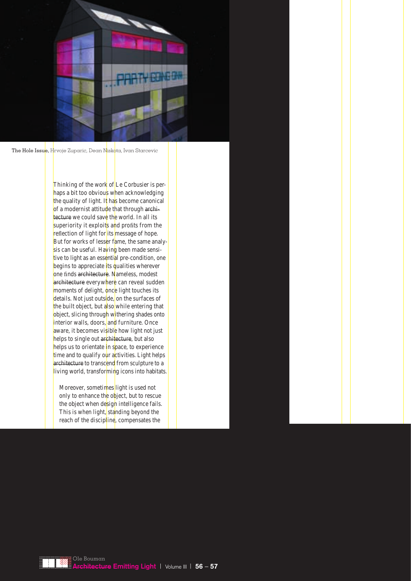

The Hole Issue, Hrvoje Zuparic, Dean Niskota, Ivan Starcevic

Thinking of the work of Le Corbusier is perhaps a bit too obvious when acknowledging the quality of light. It has become canonical of a modernist attitude that through architecture we could save the world. In all its superiority it exploits and profits from the reflection of light for its message of hope. But for works of lesser fame, the same analysis can be useful. Having been made sensitive to light as an essential pre-condition, one begins to appreciate its qualities wherever one finds architecture. Nameless, modest architecture everywhere can reveal sudden moments of delight, once light touches its details. Not just outside, on the surfaces of the built object, but also while entering that object, slicing through withering shades onto interior walls, doors, and furniture. Once aware, it becomes visible how light not just helps to single out architecture, but also helps us to orientate in space, to experience time and to qualify our activities. Light helps architecture to transcend from sculpture to a living world, transforming icons into habitats.

Moreover, sometimes light is used not only to enhance the object, but to rescue the object when design intelligence fails. This is when light, standing beyond the reach of the discipline, compensates the